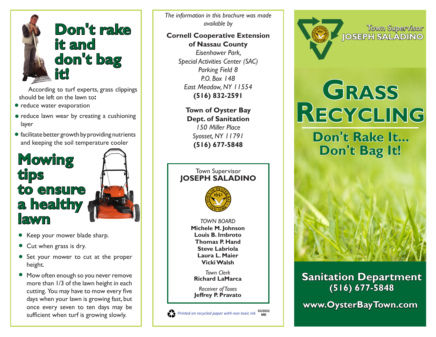

According to turf experts, grass clippings should be left on the lawn to**:**

- reduce water evaporation
- reduce lawn wear by creating a cushioning layer
- facilitate better growth by providing nutrients and keeping the soil temperature cooler



- Keep your mower blade sharp.
- Cut when grass is dry.
- Set your mower to cut at the proper height.
- Mow often enough so you never remove more than 1/3 of the lawn height in each cutting. You may have to mow every five days when your lawn is growing fast, but once every seven to ten days may be sufficient when turf is growing slowly.

*The information in this brochure was made available by*

# **Cornell Cooperative Extension of Nassau County**

*Eisenhower Park, Special Activities Center (SAC) Parking Field 8 P.O. Box 148 East Meadow, NY 11554* **(516) 832-2591**

**Town of Oyster Bay Dept. of Sanitation** *150 Miller Place Syosset, NY 11791* **(516) 677-5848**



**Grass Recycling**

Town Supervisor

**JOSEPH SALADINO**

**Don't Rake It... Don't Bag It!**



**Sanitation Department (516) 677-5848**

**www.OysterBayTown.com**